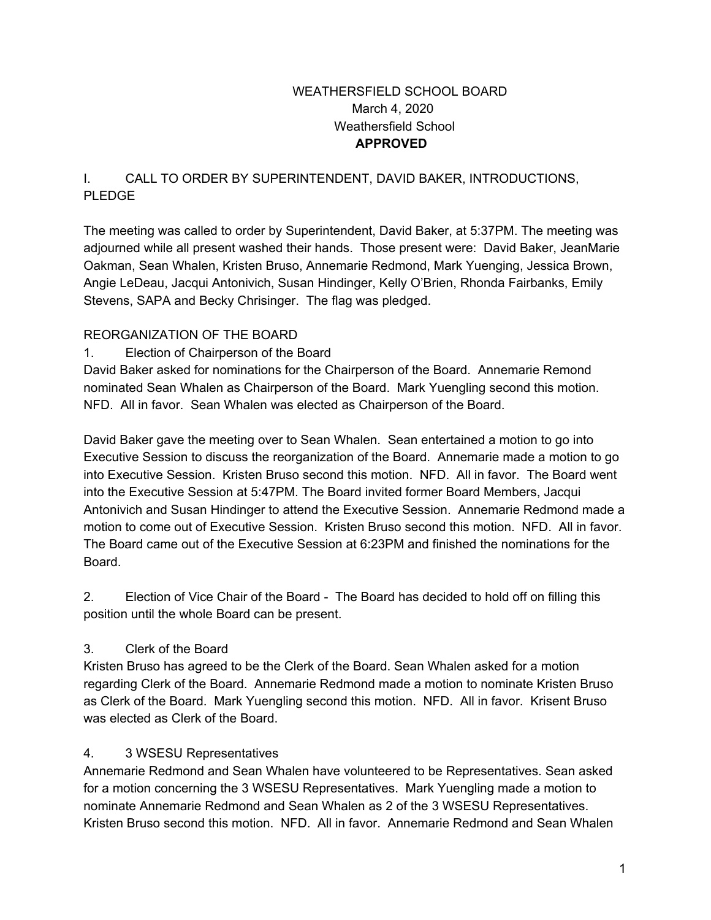### WEATHERSFIELD SCHOOL BOARD March 4, 2020 Weathersfield School **APPROVED**

## I. CALL TO ORDER BY SUPERINTENDENT, DAVID BAKER, INTRODUCTIONS, PLEDGE

The meeting was called to order by Superintendent, David Baker, at 5:37PM. The meeting was adjourned while all present washed their hands. Those present were: David Baker, JeanMarie Oakman, Sean Whalen, Kristen Bruso, Annemarie Redmond, Mark Yuenging, Jessica Brown, Angie LeDeau, Jacqui Antonivich, Susan Hindinger, Kelly O'Brien, Rhonda Fairbanks, Emily Stevens, SAPA and Becky Chrisinger. The flag was pledged.

## REORGANIZATION OF THE BOARD

1. Election of Chairperson of the Board

David Baker asked for nominations for the Chairperson of the Board. Annemarie Remond nominated Sean Whalen as Chairperson of the Board. Mark Yuengling second this motion. NFD. All in favor. Sean Whalen was elected as Chairperson of the Board.

David Baker gave the meeting over to Sean Whalen. Sean entertained a motion to go into Executive Session to discuss the reorganization of the Board. Annemarie made a motion to go into Executive Session. Kristen Bruso second this motion. NFD. All in favor. The Board went into the Executive Session at 5:47PM. The Board invited former Board Members, Jacqui Antonivich and Susan Hindinger to attend the Executive Session. Annemarie Redmond made a motion to come out of Executive Session. Kristen Bruso second this motion. NFD. All in favor. The Board came out of the Executive Session at 6:23PM and finished the nominations for the Board.

2. Election of Vice Chair of the Board - The Board has decided to hold off on filling this position until the whole Board can be present.

## 3. Clerk of the Board

Kristen Bruso has agreed to be the Clerk of the Board. Sean Whalen asked for a motion regarding Clerk of the Board. Annemarie Redmond made a motion to nominate Kristen Bruso as Clerk of the Board. Mark Yuengling second this motion. NFD. All in favor. Krisent Bruso was elected as Clerk of the Board.

## 4. 3 WSESU Representatives

Annemarie Redmond and Sean Whalen have volunteered to be Representatives. Sean asked for a motion concerning the 3 WSESU Representatives. Mark Yuengling made a motion to nominate Annemarie Redmond and Sean Whalen as 2 of the 3 WSESU Representatives. Kristen Bruso second this motion. NFD. All in favor. Annemarie Redmond and Sean Whalen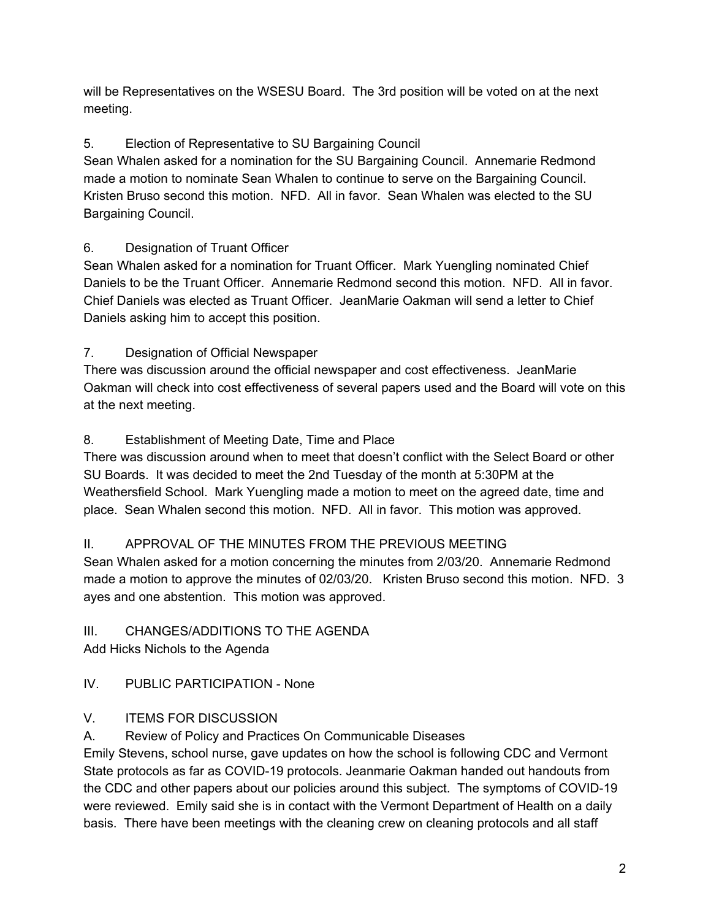will be Representatives on the WSESU Board. The 3rd position will be voted on at the next meeting.

# 5. Election of Representative to SU Bargaining Council

Sean Whalen asked for a nomination for the SU Bargaining Council. Annemarie Redmond made a motion to nominate Sean Whalen to continue to serve on the Bargaining Council. Kristen Bruso second this motion. NFD. All in favor. Sean Whalen was elected to the SU Bargaining Council.

# 6. Designation of Truant Officer

Sean Whalen asked for a nomination for Truant Officer. Mark Yuengling nominated Chief Daniels to be the Truant Officer. Annemarie Redmond second this motion. NFD. All in favor. Chief Daniels was elected as Truant Officer. JeanMarie Oakman will send a letter to Chief Daniels asking him to accept this position.

# 7. Designation of Official Newspaper

There was discussion around the official newspaper and cost effectiveness. JeanMarie Oakman will check into cost effectiveness of several papers used and the Board will vote on this at the next meeting.

## 8. Establishment of Meeting Date, Time and Place

There was discussion around when to meet that doesn't conflict with the Select Board or other SU Boards. It was decided to meet the 2nd Tuesday of the month at 5:30PM at the Weathersfield School. Mark Yuengling made a motion to meet on the agreed date, time and place. Sean Whalen second this motion. NFD. All in favor. This motion was approved.

## II. APPROVAL OF THE MINUTES FROM THE PREVIOUS MEETING

Sean Whalen asked for a motion concerning the minutes from 2/03/20. Annemarie Redmond made a motion to approve the minutes of 02/03/20. Kristen Bruso second this motion. NFD. 3 ayes and one abstention. This motion was approved.

## III. CHANGES/ADDITIONS TO THE AGENDA

Add Hicks Nichols to the Agenda

# IV. PUBLIC PARTICIPATION - None

## V. ITEMS FOR DISCUSSION

A. Review of Policy and Practices On Communicable Diseases

Emily Stevens, school nurse, gave updates on how the school is following CDC and Vermont State protocols as far as COVID-19 protocols. Jeanmarie Oakman handed out handouts from the CDC and other papers about our policies around this subject. The symptoms of COVID-19 were reviewed. Emily said she is in contact with the Vermont Department of Health on a daily basis. There have been meetings with the cleaning crew on cleaning protocols and all staff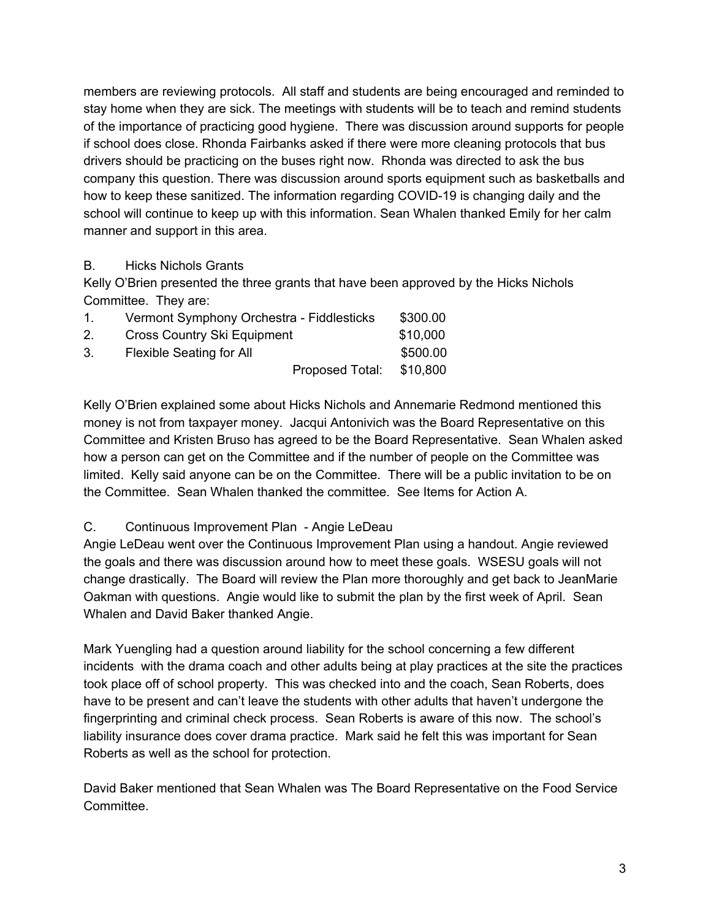members are reviewing protocols. All staff and students are being encouraged and reminded to stay home when they are sick. The meetings with students will be to teach and remind students of the importance of practicing good hygiene. There was discussion around supports for people if school does close. Rhonda Fairbanks asked if there were more cleaning protocols that bus drivers should be practicing on the buses right now. Rhonda was directed to ask the bus company this question. There was discussion around sports equipment such as basketballs and how to keep these sanitized. The information regarding COVID-19 is changing daily and the school will continue to keep up with this information. Sean Whalen thanked Emily for her calm manner and support in this area.

### B. Hicks Nichols Grants

Kelly O'Brien presented the three grants that have been approved by the Hicks Nichols Committee. They are:

| $\mathbf{1}$   | Vermont Symphony Orchestra - Fiddlesticks |                 | \$300.00 |
|----------------|-------------------------------------------|-----------------|----------|
| 2 <sub>1</sub> | <b>Cross Country Ski Equipment</b>        |                 | \$10,000 |
| 3.             | <b>Flexible Seating for All</b>           |                 | \$500.00 |
|                |                                           | Proposed Total: | \$10,800 |

Kelly O'Brien explained some about Hicks Nichols and Annemarie Redmond mentioned this money is not from taxpayer money. Jacqui Antonivich was the Board Representative on this Committee and Kristen Bruso has agreed to be the Board Representative. Sean Whalen asked how a person can get on the Committee and if the number of people on the Committee was limited. Kelly said anyone can be on the Committee. There will be a public invitation to be on the Committee. Sean Whalen thanked the committee. See Items for Action A.

## C. Continuous Improvement Plan - Angie LeDeau

Angie LeDeau went over the Continuous Improvement Plan using a handout. Angie reviewed the goals and there was discussion around how to meet these goals. WSESU goals will not change drastically. The Board will review the Plan more thoroughly and get back to JeanMarie Oakman with questions. Angie would like to submit the plan by the first week of April. Sean Whalen and David Baker thanked Angie.

Mark Yuengling had a question around liability for the school concerning a few different incidents with the drama coach and other adults being at play practices at the site the practices took place off of school property. This was checked into and the coach, Sean Roberts, does have to be present and can't leave the students with other adults that haven't undergone the fingerprinting and criminal check process. Sean Roberts is aware of this now. The school's liability insurance does cover drama practice. Mark said he felt this was important for Sean Roberts as well as the school for protection.

David Baker mentioned that Sean Whalen was The Board Representative on the Food Service Committee.